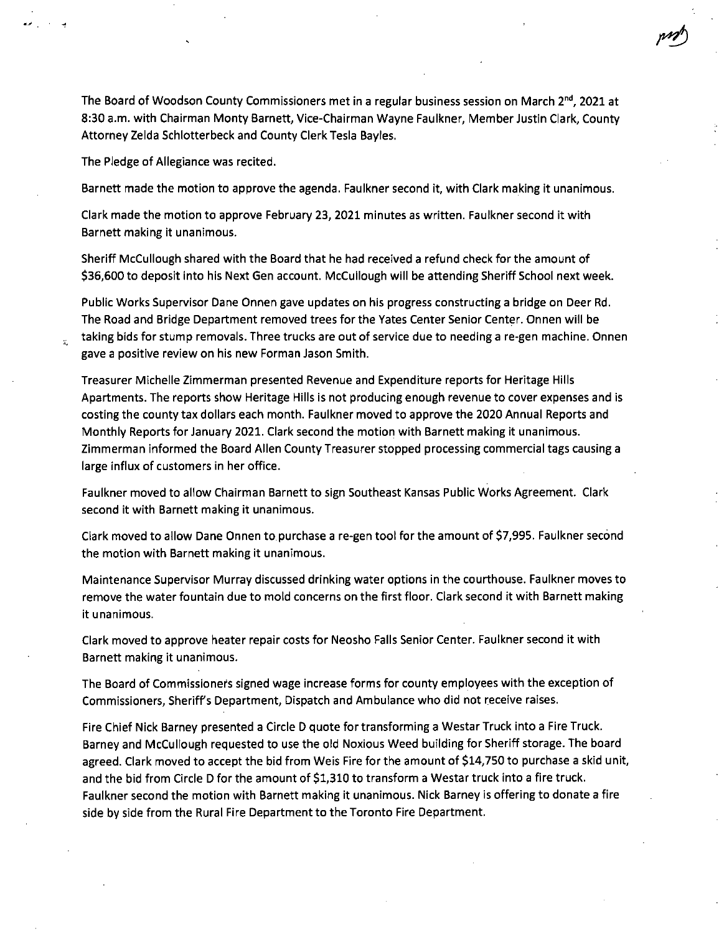The Board of Woodson County Commissioners met in a regular business session on March 2<sup>nd</sup>, 2021 at 8:30 a.m. with Chairman Monty Barnett, Vice-Chairman Wayne Faulkner, Member Justin Clark, County Attorney Zelda Schlotterbeck and County Clerk Tesla Bayles.

The Pledge of Allegiance was recited.

i.

Barnett made the motion to approve the agenda. Faulkner second it, with Clark making it unanimous.

Clark made the motion to approve February 23, 2021 minutes as written. Faulkner second it with Barnett making it unanimous.

Sheriff McCullough shared with the Board that he had received a refund check for the amount of \$36,600 to deposit into his Next Gen account. McCullough will be attending Sheriff School next week.

Public Works Supervisor Dane Onnen gave updates on his progress constructing a bridge on Deer Rd. The Road and Bridge Department removed trees for the Yates Center Senior Center. Onnen will be taking bids for stump removals. Three trucks are out of service due to needing a re-gen machine. Onnen gave a positive review on his new Forman Jason Smith.

Treasurer Michelle Zimmerman presented Revenue and Expenditure reports for Heritage Hills Apartments. The reports show Heritage Hills is not producing enough revenue to cover expenses and is costing the county tax dollars each month. Faulkner moved to approve the 2020 Annual Reports and Monthly Reports for January 2021. Clark second the motion with Barnett making it unanimous. Zimmerman informed the Board Allen County Treasurer stopped processing commercial tags causing a large influx of customers in her office.

Faulkner moved to allow Chairman Barnett to sign Southeast Kansas Public Works Agreement. Clark second it with Barnett making it unanimous.

Clark moved to allow Dane Onnen to purchase a re-gen tool for the amount of \$7,995. Faulkner second the motion with Barnett making it unanimous.

Maintenance Supervisor Murray discussed drinking water options in the courthouse. Faulkner moves to remove the water fountain due to mold concerns on the first floor. Clark second it with Barnett making it unanimous.

Clark moved to approve heater repair costs for Neosho Falls Senior Center. Faulkner second it with Barnett making it unanimous.

The Board of Commissioners signed wage increase forms for county employees with the exception of Commissioners, Sheriffs Department, Dispatch and Ambulance who did not receive raises.

Fire Chief Nick Barney presented a Circle D quote for transforming a Westar Truck into a Fire Truck. Barney and McCullough requested to use the old Noxious Weed building for Sheriff storage. The board agreed. Clark moved to accept the bid from Weis Fire for the amount of \$14,750 to purchase a skid unit, and the bid from Circle D for the amount of \$1,310 to transform a Westar truck into a fire truck. Faulkner second the motion with Barnett making it unanimous. Nick Barney is offering to donate a fire side by side from the Rural Fire Department to the Toronto Fire Department.